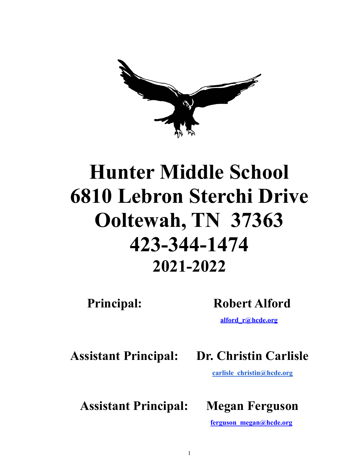

# **Hunter Middle School 6810 Lebron Sterchi Drive Ooltewah, TN 37363 423-344-1474 2021-2022**

# **Principal: Robert Alford**

**[alford\\_r@hcde.org](mailto:alford_r@hcde.org)**

**Assistant Principal: Dr. Christin Carlisle**

**[carlisle\\_christin@hcde.org](mailto:carlisle_christin@hcde.org)**

**Assistant Principal: Megan Ferguson**

**ferguson\_megan@hcde.org**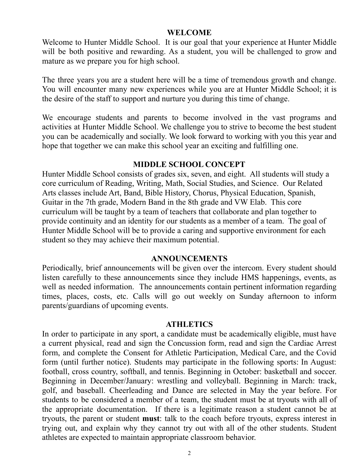# **WELCOME**

Welcome to Hunter Middle School. It is our goal that your experience at Hunter Middle will be both positive and rewarding. As a student, you will be challenged to grow and mature as we prepare you for high school.

The three years you are a student here will be a time of tremendous growth and change. You will encounter many new experiences while you are at Hunter Middle School; it is the desire of the staff to support and nurture you during this time of change.

We encourage students and parents to become involved in the vast programs and activities at Hunter Middle School. We challenge you to strive to become the best student you can be academically and socially. We look forward to working with you this year and hope that together we can make this school year an exciting and fulfilling one.

# **MIDDLE SCHOOL CONCEPT**

Hunter Middle School consists of grades six, seven, and eight. All students will study a core curriculum of Reading, Writing, Math, Social Studies, and Science. Our Related Arts classes include Art, Band, Bible History, Chorus, Physical Education, Spanish, Guitar in the 7th grade, Modern Band in the 8th grade and VW Elab. This core curriculum will be taught by a team of teachers that collaborate and plan together to provide continuity and an identity for our students as a member of a team. The goal of Hunter Middle School will be to provide a caring and supportive environment for each student so they may achieve their maximum potential.

# **ANNOUNCEMENTS**

Periodically, brief announcements will be given over the intercom. Every student should listen carefully to these announcements since they include HMS happenings, events, as well as needed information. The announcements contain pertinent information regarding times, places, costs, etc. Calls will go out weekly on Sunday afternoon to inform parents/guardians of upcoming events.

### **ATHLETICS**

In order to participate in any sport, a candidate must be academically eligible, must have a current physical, read and sign the Concussion form, read and sign the Cardiac Arrest form, and complete the Consent for Athletic Participation, Medical Care, and the Covid form (until further notice). Students may participate in the following sports: In August: football, cross country, softball, and tennis. Beginning in October: basketball and soccer. Beginning in December/January: wrestling and volleyball. Beginning in March: track, golf, and baseball. Cheerleading and Dance are selected in May the year before. For students to be considered a member of a team, the student must be at tryouts with all of the appropriate documentation. If there is a legitimate reason a student cannot be at tryouts, the parent or student **must**: talk to the coach before tryouts, express interest in trying out, and explain why they cannot try out with all of the other students. Student athletes are expected to maintain appropriate classroom behavior.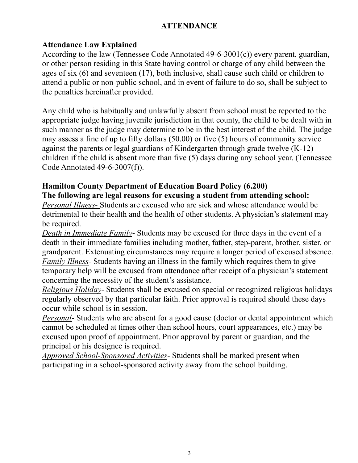# **ATTENDANCE**

# **Attendance Law Explained**

According to the law (Tennessee Code Annotated 49-6-3001(c)) every parent, guardian, or other person residing in this State having control or charge of any child between the ages of six (6) and seventeen (17), both inclusive, shall cause such child or children to attend a public or non-public school, and in event of failure to do so, shall be subject to the penalties hereinafter provided.

Any child who is habitually and unlawfully absent from school must be reported to the appropriate judge having juvenile jurisdiction in that county, the child to be dealt with in such manner as the judge may determine to be in the best interest of the child. The judge may assess a fine of up to fifty dollars (50.00) or five (5) hours of community service against the parents or legal guardians of Kindergarten through grade twelve (K-12) children if the child is absent more than five (5) days during any school year. (Tennessee Code Annotated 49-6-3007(f)).

# **Hamilton County Department of Education Board Policy (6.200)**

**The following are legal reasons for excusing a student from attending school:**

*Personal Illness-* Students are excused who are sick and whose attendance would be detrimental to their health and the health of other students. A physician's statement may be required.

*Death in Immediate Family*- Students may be excused for three days in the event of a death in their immediate families including mother, father, step-parent, brother, sister, or grandparent. Extenuating circumstances may require a longer period of excused absence. *Family Illness*- Students having an illness in the family which requires them to give temporary help will be excused from attendance after receipt of a physician's statement concerning the necessity of the student's assistance.

*Religious Holiday*- Students shall be excused on special or recognized religious holidays regularly observed by that particular faith. Prior approval is required should these days occur while school is in session.

*Personal*- Students who are absent for a good cause (doctor or dental appointment which cannot be scheduled at times other than school hours, court appearances, etc.) may be excused upon proof of appointment. Prior approval by parent or guardian, and the principal or his designee is required.

*Approved School-Sponsored Activities*- Students shall be marked present when participating in a school-sponsored activity away from the school building.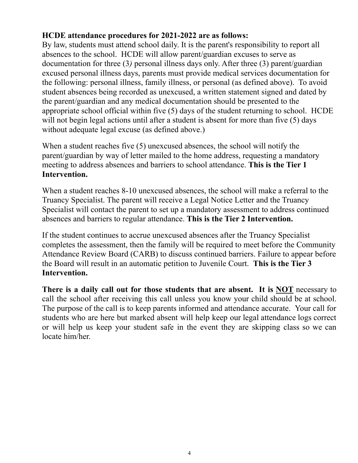# **HCDE attendance procedures for 2021-2022 are as follows:**

By law, students must attend school daily. It is the parent's responsibility to report all absences to the school. HCDE will allow parent/guardian excuses to serve as documentation for three (3*)* personal illness days only. After three (3) parent/guardian excused personal illness days, parents must provide medical services documentation for the following: personal illness, family illness, or personal (as defined above). To avoid student absences being recorded as unexcused, a written statement signed and dated by the parent/guardian and any medical documentation should be presented to the appropriate school official within five (5) days of the student returning to school. HCDE will not begin legal actions until after a student is absent for more than five (5) days without adequate legal excuse (as defined above.)

When a student reaches five (5) unexcused absences, the school will notify the parent/guardian by way of letter mailed to the home address, requesting a mandatory meeting to address absences and barriers to school attendance. **This is the Tier 1 Intervention.**

When a student reaches 8-10 unexcused absences, the school will make a referral to the Truancy Specialist. The parent will receive a Legal Notice Letter and the Truancy Specialist will contact the parent to set up a mandatory assessment to address continued absences and barriers to regular attendance. **This is the Tier 2 Intervention.**

If the student continues to accrue unexcused absences after the Truancy Specialist completes the assessment, then the family will be required to meet before the Community Attendance Review Board (CARB) to discuss continued barriers. Failure to appear before the Board will result in an automatic petition to Juvenile Court. **This is the Tier 3 Intervention.**

**There is a daily call out for those students that are absent. It is NOT** necessary to call the school after receiving this call unless you know your child should be at school. The purpose of the call is to keep parents informed and attendance accurate. Your call for students who are here but marked absent will help keep our legal attendance logs correct or will help us keep your student safe in the event they are skipping class so we can locate him/her.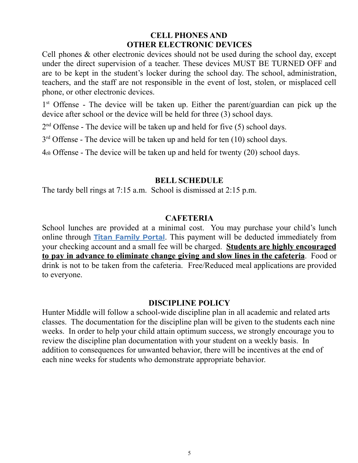# **CELL PHONES AND OTHER ELECTRONIC DEVICES**

Cell phones & other electronic devices should not be used during the school day, except under the direct supervision of a teacher. These devices MUST BE TURNED OFF and are to be kept in the student's locker during the school day. The school, administration, teachers, and the staff are not responsible in the event of lost, stolen, or misplaced cell phone, or other electronic devices.

1<sup>st</sup> Offense - The device will be taken up. Either the parent/guardian can pick up the device after school or the device will be held for three (3) school days.

2<sup>nd</sup> Offense - The device will be taken up and held for five (5) school days.

 $3<sup>rd</sup>$  Offense - The device will be taken up and held for ten (10) school days.

4*th* Offense - The device will be taken up and held for twenty (20) school days.

# **BELL SCHEDULE**

The tardy bell rings at 7:15 a.m. School is dismissed at 2:15 p.m.

# **CAFETERIA**

School lunches are provided at a minimal cost. You may purchase your child's lunch online through **Titan [Family](https://family.titank12.com/) Portal**. This payment will be deducted immediately from your checking account and a small fee will be charged. **Students are highly encouraged to pay in advance to eliminate change giving and slow lines in the cafeteria**. Food or drink is not to be taken from the cafeteria. Free/Reduced meal applications are provided to everyone.

# **DISCIPLINE POLICY**

Hunter Middle will follow a school-wide discipline plan in all academic and related arts classes. The documentation for the discipline plan will be given to the students each nine weeks. In order to help your child attain optimum success, we strongly encourage you to review the discipline plan documentation with your student on a weekly basis. In addition to consequences for unwanted behavior, there will be incentives at the end of each nine weeks for students who demonstrate appropriate behavior.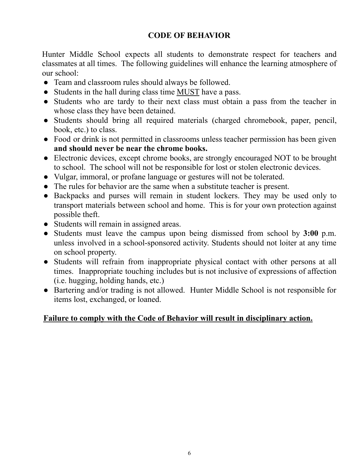# **CODE OF BEHAVIOR**

Hunter Middle School expects all students to demonstrate respect for teachers and classmates at all times. The following guidelines will enhance the learning atmosphere of our school:

- Team and classroom rules should always be followed.
- Students in the hall during class time MUST have a pass.
- Students who are tardy to their next class must obtain a pass from the teacher in whose class they have been detained.
- Students should bring all required materials (charged chromebook, paper, pencil, book, etc.) to class.
- Food or drink is not permitted in classrooms unless teacher permission has been given **and should never be near the chrome books.**
- Electronic devices, except chrome books, are strongly encouraged NOT to be brought to school. The school will not be responsible for lost or stolen electronic devices.
- Vulgar, immoral, or profane language or gestures will not be tolerated.
- The rules for behavior are the same when a substitute teacher is present.
- Backpacks and purses will remain in student lockers. They may be used only to transport materials between school and home. This is for your own protection against possible theft.
- Students will remain in assigned areas.
- Students must leave the campus upon being dismissed from school by **3:00** p.m. unless involved in a school-sponsored activity. Students should not loiter at any time on school property.
- Students will refrain from inappropriate physical contact with other persons at all times. Inappropriate touching includes but is not inclusive of expressions of affection (i.e. hugging, holding hands, etc.)
- Bartering and/or trading is not allowed. Hunter Middle School is not responsible for items lost, exchanged, or loaned.

# **Failure to comply with the Code of Behavior will result in disciplinary action.**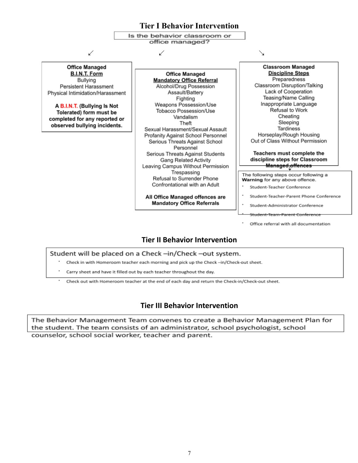## **Tier I Behavior Intervention**

Is the behavior classroom or office managed?

↙ ↙ ↘

**Office Managed B.I.N.T. Form** Bullying Persistent Harassment Physical Intimidation/Harassment

A B.I.N.T. (Bullying Is Not Tolerated) form must be completed for any reported or observed bullying incidents.

**Office Managed Mandatory Office Referral** Alcohol/Drug Possession Assault/Battery Fighting Weapons Possession/Use Tobacco Possession/Use Vandalism Theft Sexual Harassment/Sexual Assault Profanity Against School Personnel Serious Threats Against School Personnel Serious Threats Against Students **Gang Related Activity** Leaving Campus Without Permission Trespassing Refusal to Surrender Phone Confrontational with an Adult

All Office Managed offences are **Mandatory Office Referrals** 

**Classroom Managed Discipline Steps** Preparedness Classroom Disruption/Talking Lack of Cooperation Teasing/Name Calling Inappropriate Language Refusal to Work Cheating Sleeping Tardiness Horseplay/Rough Housing Out of Class Without Permission

#### Teachers must complete the discipline steps for Classroom <u>**Managed offences**</u>

The following steps occur following a Warning for any above offence.

- Student-Teacher Conference
- Student-Teacher-Parent Phone Conference
- Student-Administrator Conference
- .<br>Student-Team-Parent Conference
- Office referral with all documentation

# **Tier II Behavior Intervention**

#### Student will be placed on a Check-in/Check-out system.

- Check in with Homeroom teacher each morning and pick up the Check-in/Check-out sheet.
- Carry sheet and have it filled out by each teacher throughout the day.
- Check out with Homeroom teacher at the end of each day and return the Check-in/Check-out sheet.

# **Tier III Behavior Intervention**

The Behavior Management Team convenes to create a Behavior Management Plan for the student. The team consists of an administrator, school psychologist, school counselor, school social worker, teacher and parent.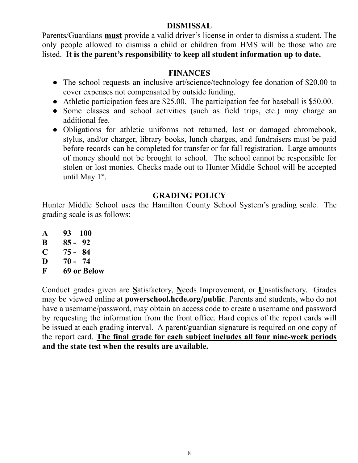# **DISMISSAL**

Parents/Guardians **must** provide a valid driver's license in order to dismiss a student. The only people allowed to dismiss a child or children from HMS will be those who are listed. **It is the parent's responsibility to keep all student information up to date.**

# **FINANCES**

- The school requests an inclusive art/science/technology fee donation of \$20.00 to cover expenses not compensated by outside funding.
- Athletic participation fees are \$25.00. The participation fee for baseball is \$50.00.
- Some classes and school activities (such as field trips, etc.) may charge an additional fee.
- Obligations for athletic uniforms not returned, lost or damaged chromebook, stylus, and/or charger, library books, lunch charges, and fundraisers must be paid before records can be completed for transfer or for fall registration. Large amounts of money should not be brought to school. The school cannot be responsible for stolen or lost monies. Checks made out to Hunter Middle School will be accepted until May  $1<sup>st</sup>$ .

# **GRADING POLICY**

Hunter Middle School uses the Hamilton County School System's grading scale. The grading scale is as follows:

- **A 93 – 100**
- **B 85 - 92**
- **C 75 - 84**
- **D 70 - 74**
- **F 69 or Below**

Conduct grades given are **S**atisfactory, **N**eeds Improvement, or **U**nsatisfactory. Grades may be viewed online at **powerschool.hcde.org/public**. Parents and students, who do not have a username/password, may obtain an access code to create a username and password by requesting the information from the front office. Hard copies of the report cards will be issued at each grading interval. A parent/guardian signature is required on one copy of the report card. **The final grade for each subject includes all four nine-week periods and the state test when the results are available.**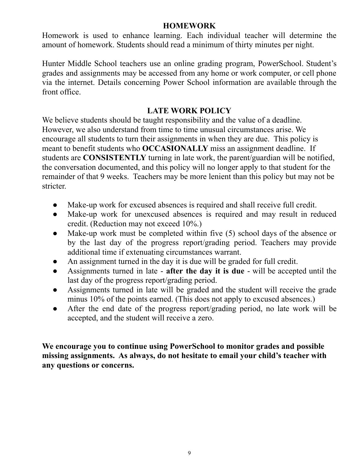# **HOMEWORK**

Homework is used to enhance learning. Each individual teacher will determine the amount of homework. Students should read a minimum of thirty minutes per night.

Hunter Middle School teachers use an online grading program, PowerSchool. Student's grades and assignments may be accessed from any home or work computer, or cell phone via the internet. Details concerning Power School information are available through the front office.

# **LATE WORK POLICY**

We believe students should be taught responsibility and the value of a deadline. However, we also understand from time to time unusual circumstances arise. We encourage all students to turn their assignments in when they are due. This policy is meant to benefit students who **OCCASIONALLY** miss an assignment deadline. If students are **CONSISTENTLY** turning in late work, the parent/guardian will be notified, the conversation documented, and this policy will no longer apply to that student for the remainder of that 9 weeks. Teachers may be more lenient than this policy but may not be stricter.

- Make-up work for excused absences is required and shall receive full credit.
- Make-up work for unexcused absences is required and may result in reduced credit. (Reduction may not exceed 10%.)
- Make-up work must be completed within five  $(5)$  school days of the absence or by the last day of the progress report/grading period. Teachers may provide additional time if extenuating circumstances warrant.
- An assignment turned in the day it is due will be graded for full credit.
- Assignments turned in late **after the day it is due** will be accepted until the last day of the progress report/grading period.
- Assignments turned in late will be graded and the student will receive the grade minus 10% of the points earned. (This does not apply to excused absences.)
- After the end date of the progress report/grading period, no late work will be accepted, and the student will receive a zero.

**We encourage you to continue using PowerSchool to monitor grades and possible missing assignments. As always, do not hesitate to email your child's teacher with any questions or concerns.**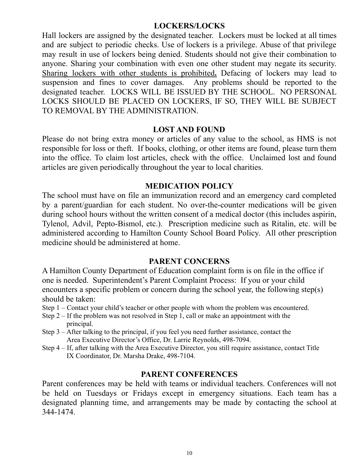# **LOCKERS/LOCKS**

Hall lockers are assigned by the designated teacher. Lockers must be locked at all times and are subject to periodic checks. Use of lockers is a privilege. Abuse of that privilege may result in use of lockers being denied. Students should not give their combination to anyone. Sharing your combination with even one other student may negate its security. Sharing lockers with other students is prohibited**.** Defacing of lockers may lead to suspension and fines to cover damages. Any problems should be reported to the designated teacher. LOCKS WILL BE ISSUED BY THE SCHOOL. NO PERSONAL LOCKS SHOULD BE PLACED ON LOCKERS, IF SO, THEY WILL BE SUBJECT TO REMOVAL BY THE ADMINISTRATION.

# **LOST AND FOUND**

Please do not bring extra money or articles of any value to the school, as HMS is not responsible for loss or theft. If books, clothing, or other items are found, please turn them into the office. To claim lost articles, check with the office. Unclaimed lost and found articles are given periodically throughout the year to local charities.

# **MEDICATION POLICY**

The school must have on file an immunization record and an emergency card completed by a parent/guardian for each student. No over-the-counter medications will be given during school hours without the written consent of a medical doctor (this includes aspirin, Tylenol, Advil, Pepto-Bismol, etc.). Prescription medicine such as Ritalin, etc. will be administered according to Hamilton County School Board Policy. All other prescription medicine should be administered at home.

# **PARENT CONCERNS**

A Hamilton County Department of Education complaint form is on file in the office if one is needed. Superintendent's Parent Complaint Process: If you or your child encounters a specific problem or concern during the school year, the following step(s) should be taken:

- Step 1 Contact your child's teacher or other people with whom the problem was encountered.
- Step 2 If the problem was not resolved in Step 1, call or make an appointment with the principal.
- Step 3 After talking to the principal, if you feel you need further assistance, contact the Area Executive Director's Office, Dr. Larrie Reynolds, 498-7094.
- Step 4 If, after talking with the Area Executive Director, you still require assistance, contact Title IX Coordinator, Dr. Marsha Drake, 498-7104.

# **PARENT CONFERENCES**

Parent conferences may be held with teams or individual teachers. Conferences will not be held on Tuesdays or Fridays except in emergency situations. Each team has a designated planning time, and arrangements may be made by contacting the school at 344-1474.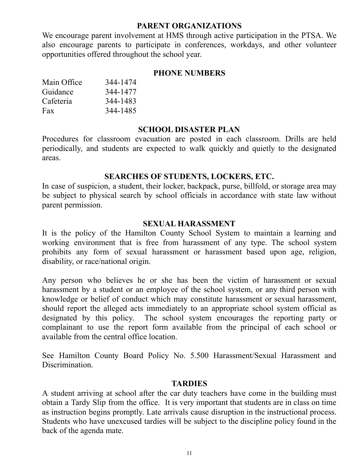# **PARENT ORGANIZATIONS**

We encourage parent involvement at HMS through active participation in the PTSA. We also encourage parents to participate in conferences, workdays, and other volunteer opportunities offered throughout the school year.

# **PHONE NUMBERS**

| Main Office | 344-1474 |
|-------------|----------|
| Guidance    | 344-1477 |
| Cafeteria   | 344-1483 |
| Fax         | 344-1485 |

# **SCHOOL DISASTER PLAN**

Procedures for classroom evacuation are posted in each classroom. Drills are held periodically, and students are expected to walk quickly and quietly to the designated areas.

# **SEARCHES OF STUDENTS, LOCKERS, ETC.**

In case of suspicion, a student, their locker, backpack, purse, billfold, or storage area may be subject to physical search by school officials in accordance with state law without parent permission.

# **SEXUAL HARASSMENT**

It is the policy of the Hamilton County School System to maintain a learning and working environment that is free from harassment of any type. The school system prohibits any form of sexual harassment or harassment based upon age, religion, disability, or race/national origin.

Any person who believes he or she has been the victim of harassment or sexual harassment by a student or an employee of the school system, or any third person with knowledge or belief of conduct which may constitute harassment or sexual harassment, should report the alleged acts immediately to an appropriate school system official as designated by this policy. The school system encourages the reporting party or complainant to use the report form available from the principal of each school or available from the central office location.

See Hamilton County Board Policy No. 5.500 Harassment/Sexual Harassment and Discrimination.

# **TARDIES**

A student arriving at school after the car duty teachers have come in the building must obtain a Tardy Slip from the office. It is very important that students are in class on time as instruction begins promptly. Late arrivals cause disruption in the instructional process. Students who have unexcused tardies will be subject to the discipline policy found in the back of the agenda mate.